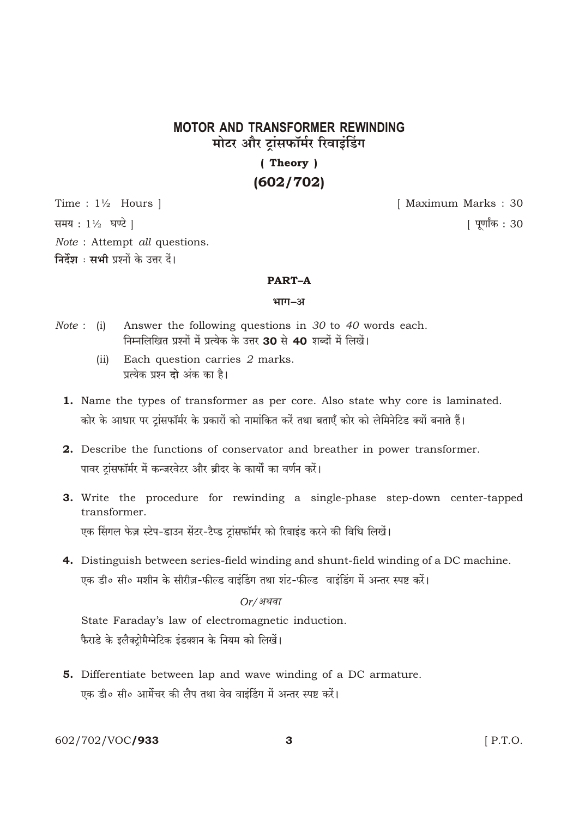# **MOTOR AND TRANSFORMER REWINDING** मोटर और टांसफॉर्मर रिवाइंडिंग

# (Theory)  $(602/702)$

Time:  $1\frac{1}{2}$  Hours |

समय: 11/2 घण्टे |

Note: Attempt all questions.

निर्देश : सभी प्रश्नों के उत्तर दें।

### **PART-A**

#### भाग-अ

- Answer the following questions in  $30$  to  $40$  words each.  $Note: (i)$ निम्नलिखित प्रश्नों में प्रत्येक के उत्तर 30 से 40 शब्दों में लिखें।
	- Each question carries 2 marks.  $(ii)$ प्रत्येक प्रश्न दो अंक का है।
	- 1. Name the types of transformer as per core. Also state why core is laminated. कोर के आधार पर ट्रांसफॉर्मर के प्रकारों को नामांकित करें तथा बताएँ कोर को लेमिनेटिड क्यों बनाते हैं।
	- 2. Describe the functions of conservator and breather in power transformer. पावर टांसफॉर्मर में कन्जरवेटर और ब्रीदर के कार्यों का वर्णन करें।
	- 3. Write the procedure for rewinding a single-phase step-down center-tapped transformer. एक सिंगल फेज़ स्टेप-डाउन सेंटर-टैप्ड ट्रांसफॉर्मर को रिवाइंड करने की विधि लिखें।
	- 4. Distinguish between series-field winding and shunt-field winding of a DC machine. एक डी॰ सी॰ मशीन के सीरीज़-फील्ड वाइंडिंग तथा शंट-फील्ड वाइंडिंग में अन्तर स्पष्ट करें।

## $Or/$ अथवा

State Faraday's law of electromagnetic induction. फैराडे के इलैक्टोमैग्नेटिक इंडक्शन के नियम को लिखें।

5. Differentiate between lap and wave winding of a DC armature. एक डी॰ सी॰ आर्मेचर की लैप तथा वेव वाइंडिंग में अन्तर स्पष्ट करें।

602/702/VOC**/933** 

 $[$  P.T.O.

[ Maximum Marks: 30

<u>[</u> पूर्णांक : 30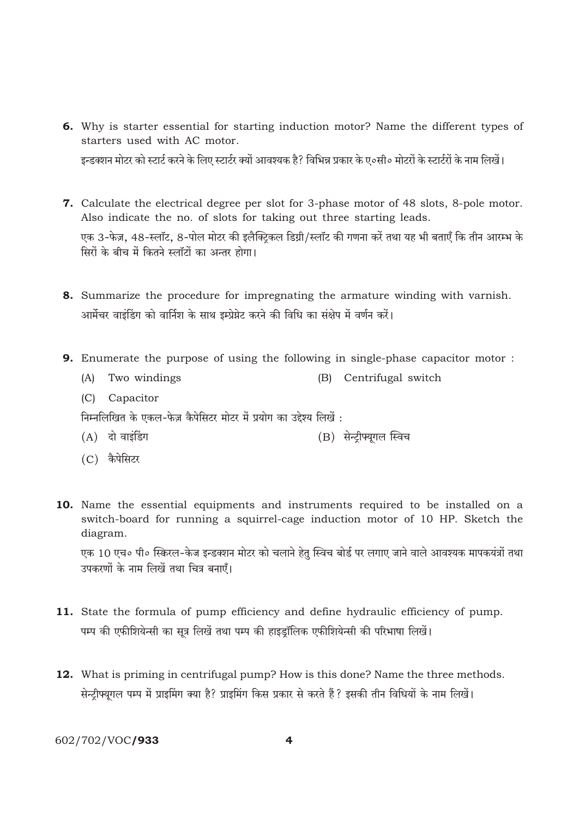- 6. Why is starter essential for starting induction motor? Name the different types of starters used with AC motor. इन्डक्शन मोटर को स्टार्ट करने के लिए स्टार्टर क्यों आवश्यक है? विभिन्न प्रकार के ए०सी० मोटरों के स्टार्टरों के नाम लिखें।
- 7. Calculate the electrical degree per slot for 3-phase motor of 48 slots, 8-pole motor. Also indicate the no. of slots for taking out three starting leads. एक 3-फेज़, 48-स्लॉट, 8-पोल मोटर की इलैक्टिकल डिग्री/स्लॉट की गणना करें तथा यह भी बताएँ कि तीन आरम्भ के मिरों के बीच में कितने स्लॉरों का अन्तर होगा।
- 8. Summarize the procedure for impregnating the armature winding with varnish. आर्मेचर वाइंडिंग को वार्निश के साथ इम्प्रेग्नेट करने की विधि का संक्षेप में वर्णन करें।
- **9.** Enumerate the purpose of using the following in single-phase capacitor motor:
	- (A) Two windings (B) Centrifugal switch
	- (C) Capacitor

निम्नलिखित के एकल-फेज़ कैपेसिटर मोटर में प्रयोग का उद्देश्य लिखें :

- $(A)$  दो वाइंडिंग (B) सेन्ट्रीफ्यूगल स्विच
- (C) कैपेसिटर
- 10. Name the essential equipments and instruments required to be installed on a switch-board for running a squirrel-cage induction motor of 10 HP. Sketch the diagram.

एक 10 एच॰ पी॰ स्किरल-केज इन्डक्शन मोटर को चलाने हेतु स्विच बोर्ड पर लगाए जाने वाले आवश्यक मापकयंत्रों तथा उपकरणों के नाम लिखें तथा चित्र बनाएँ।

- 11. State the formula of pump efficiency and define hydraulic efficiency of pump. पम्प की एफीशियेन्सी का सत्र लिखें तथा पम्प की हाइडॉलिक एफीशियेन्सी की परिभाषा लिखें।
- 12. What is priming in centrifugal pump? How is this done? Name the three methods. सेन्ट्रीफ्यूगल पम्प में प्राइमिंग क्या है? प्राइमिंग किस प्रकार से करते हैं? इसकी तीन विधियों के नाम लिखें।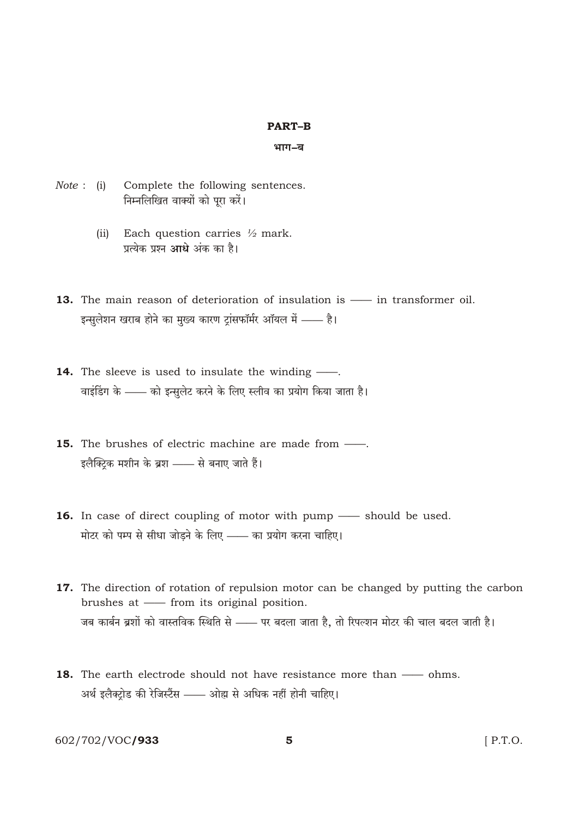#### **PART-B**

#### भाग–ब

- Note : (i) Complete the following sentences. निम्नलिखित वाक्यों को पूरा करें।
	- (ii) Each question carries  $\frac{1}{2}$  mark. प्रत्येक प्रश्न आधे अंक का है।
- 13. The main reason of deterioration of insulation is in transformer oil. इन्सुलेशन खराब होने का मुख्य कारण ट्रांसफॉर्मर ऑयल में —— है।
- 14. The sleeve is used to insulate the winding -वाइंडिंग के —— को इन्सुलेट करने के लिए स्लीव का प्रयोग किया जाता है।
- **15.** The brushes of electric machine are made from  $\frac{1}{\sqrt{1-\frac{1}{\sqrt{1-\frac{1}{\sqrt{1-\frac{1}{\sqrt{1-\frac{1}{\sqrt{1-\frac{1}{\sqrt{1-\frac{1}{\sqrt{1-\frac{1}{\sqrt{1-\frac{1}{\sqrt{1-\frac{1}{\sqrt{1-\frac{1}{\sqrt{1-\frac{1}{\sqrt{1-\frac{1}{\sqrt{1-\frac{1}{\sqrt{1-\frac{1}{\sqrt{1-\frac{1}{\sqrt{1-\frac{1}{\sqrt{1-\frac{1}{\sqrt{1-\frac{1}{\$ इलैक्ट्कि मशीन के ब्रश - से बनाए जाते हैं।
- 16. In case of direct coupling of motor with pump should be used. मोटर को पम्प से सीधा जोड़ने के लिए —— का प्रयोग करना चाहिए।
- 17. The direction of rotation of repulsion motor can be changed by putting the carbon brushes at - from its original position. जब कार्बन ब्रशों को वास्तविक स्थिति से —— पर बदला जाता है, तो रिपल्शन मोटर की चाल बदल जाती है।
- 18. The earth electrode should not have resistance more than ohms. अर्थ इलैक्ट्रोड की रेजिस्टैंस —— ओह्म से अधिक नहीं होनी चाहिए।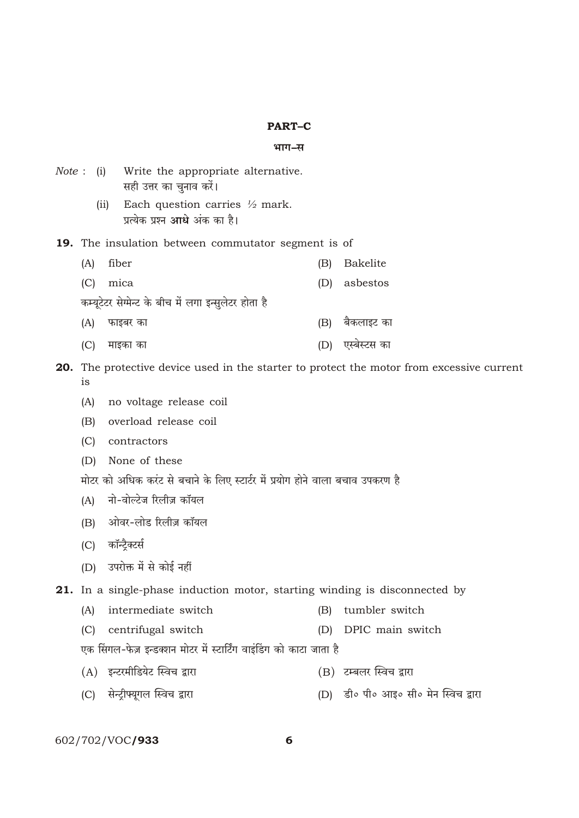#### **PART-C**

#### भाग–स

|                                                            |      | <i>Note</i> : (i) Write the appropriate alternative.<br>सही उत्तर का चुनाव करें।   |     |                 |  |  |  |
|------------------------------------------------------------|------|------------------------------------------------------------------------------------|-----|-----------------|--|--|--|
|                                                            | (ii) | Each question carries $\frac{1}{2}$ mark.<br>प्रत्येक प्रश्न <b>आधे</b> अंक का है। |     |                 |  |  |  |
| <b>19.</b> The insulation between commutator segment is of |      |                                                                                    |     |                 |  |  |  |
| (A)                                                        |      | fiber                                                                              | (B) | <b>Bakelite</b> |  |  |  |
| (C)                                                        |      | mica                                                                               | (D) | asbestos        |  |  |  |
| कम्यूटेटर सेग्मेन्ट के बीच में लगा इन्सुलेटर होता है       |      |                                                                                    |     |                 |  |  |  |
| (A)                                                        |      | फाइबर का                                                                           | (B) | बैकलाइट का      |  |  |  |
| IC)                                                        |      | माइका का                                                                           | (D) | एस्बस्टस का     |  |  |  |

20. The protective device used in the starter to protect the motor from excessive current  $is$ 

- (A) no voltage release coil
- (B) overload release coil
- (C) contractors
- (D) None of these
- मोटर को अधिक करंट से बचाने के लिए स्टार्टर में प्रयोग होने वाला बचाव उपकरण है
- (A) नो-वोल्टेज रिलीज़ कॉयल
- (B) ओवर-लोड रिलीज़ कॉयल
- (C) कॉन्ट्रैक्टर्स
- (D) उपरोक्त में से कोई नहीं

21. In a single-phase induction motor, starting winding is disconnected by

- (A) intermediate switch (B) tumbler switch
- (C) centrifugal switch (D) DPIC main switch
- एक सिंगल-फेज़ इन्डक्शन मोटर में स्टार्टिंग वाइंडिंग को काटा जाता है
- (A) इन्टरमीडियेट स्विच द्वारा (B) टम्बलर स्विच द्वारा
- (C) सेन्ट्रीफ्यूगल स्विच द्वारा (D) डी॰ पी॰ आइ॰ सी॰ मेन स्विच द्वारा